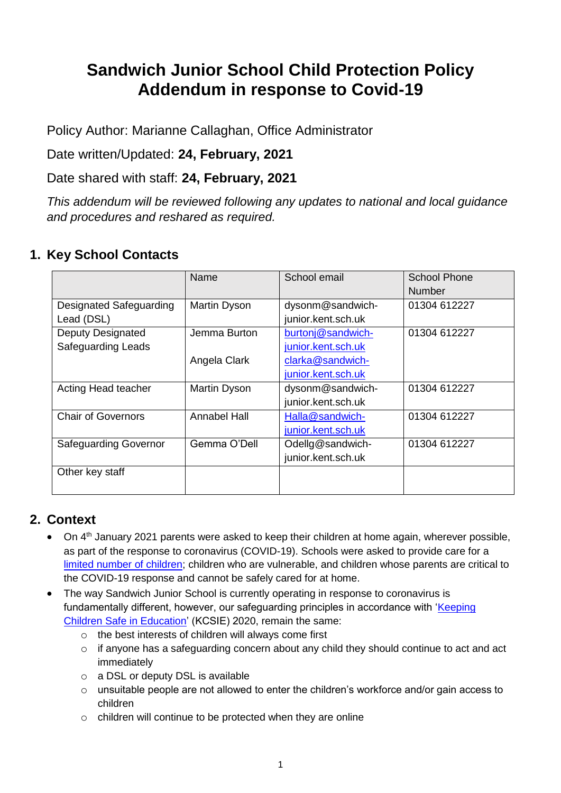# **Sandwich Junior School Child Protection Policy Addendum in response to Covid-19**

Policy Author: Marianne Callaghan, Office Administrator

Date written/Updated: **24, February, 2021**

Date shared with staff: **24, February, 2021**

*This addendum will be reviewed following any updates to national and local guidance and procedures and reshared as required.* 

### **1. Key School Contacts**

|                                | Name                | School email       | <b>School Phone</b> |
|--------------------------------|---------------------|--------------------|---------------------|
|                                |                     |                    | <b>Number</b>       |
| <b>Designated Safeguarding</b> | Martin Dyson        | dysonm@sandwich-   | 01304 612227        |
| Lead (DSL)                     |                     | junior.kent.sch.uk |                     |
| <b>Deputy Designated</b>       | Jemma Burton        | burtonj@sandwich-  | 01304 612227        |
| <b>Safeguarding Leads</b>      |                     | junior.kent.sch.uk |                     |
|                                | Angela Clark        | clarka@sandwich-   |                     |
|                                |                     | junior.kent.sch.uk |                     |
| Acting Head teacher            | Martin Dyson        | dysonm@sandwich-   | 01304 612227        |
|                                |                     | junior.kent.sch.uk |                     |
| <b>Chair of Governors</b>      | <b>Annabel Hall</b> | Halla@sandwich-    | 01304 612227        |
|                                |                     | junior.kent.sch.uk |                     |
| <b>Safeguarding Governor</b>   | Gemma O'Dell        | Odellg@sandwich-   | 01304 612227        |
|                                |                     | junior.kent.sch.uk |                     |
| Other key staff                |                     |                    |                     |
|                                |                     |                    |                     |

### **2. Context**

- On 4<sup>th</sup> January 2021 parents were asked to keep their children at home again, wherever possible, as part of the response to coronavirus (COVID-19). Schools were asked to provide care for a [limited number of children;](https://www.gov.uk/government/publications/coronavirus-covid-19-maintaining-educational-provision/guidance-for-schools-colleges-and-local-authorities-on-maintaining-educational-provision) children who are vulnerable, and children whose parents are critical to the COVID-19 response and cannot be safely cared for at home.
- The way Sandwich Junior School is currently operating in response to coronavirus is fundamentally different, however, our safeguarding principles in accordance with 'Keeping' [Children Safe in Education'](https://www.gov.uk/government/publications/keeping-children-safe-in-education--2) (KCSIE) 2020, remain the same:
	- o the best interests of children will always come first
	- o if anyone has a safeguarding concern about any child they should continue to act and act immediately
	- o a DSL or deputy DSL is available
	- $\circ$  unsuitable people are not allowed to enter the children's workforce and/or gain access to children
	- o children will continue to be protected when they are online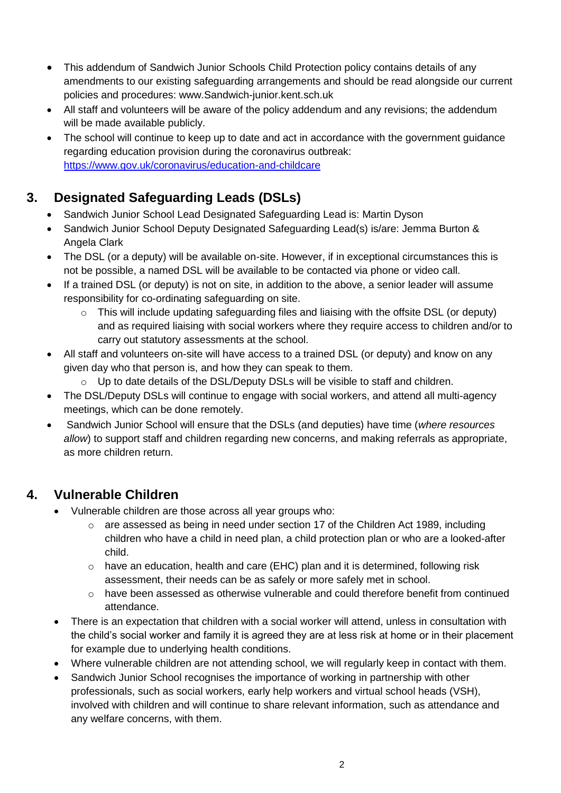- This addendum of Sandwich Junior Schools Child Protection policy contains details of any amendments to our existing safeguarding arrangements and should be read alongside our current policies and procedures: www.Sandwich-junior.kent.sch.uk
- All staff and volunteers will be aware of the policy addendum and any revisions; the addendum will be made available publicly.
- The school will continue to keep up to date and act in accordance with the government guidance regarding education provision during the coronavirus outbreak: <https://www.gov.uk/coronavirus/education-and-childcare>

## **3. Designated Safeguarding Leads (DSLs)**

- Sandwich Junior School Lead Designated Safeguarding Lead is: Martin Dyson
- Sandwich Junior School Deputy Designated Safeguarding Lead(s) is/are: Jemma Burton & Angela Clark
- The DSL (or a deputy) will be available on-site. However, if in exceptional circumstances this is not be possible, a named DSL will be available to be contacted via phone or video call.
- If a trained DSL (or deputy) is not on site, in addition to the above, a senior leader will assume responsibility for co-ordinating safeguarding on site.
	- $\circ$  This will include updating safeguarding files and liaising with the offsite DSL (or deputy) and as required liaising with social workers where they require access to children and/or to carry out statutory assessments at the school.
- All staff and volunteers on-site will have access to a trained DSL (or deputy) and know on any given day who that person is, and how they can speak to them.
	- o Up to date details of the DSL/Deputy DSLs will be visible to staff and children.
- The DSL/Deputy DSLs will continue to engage with social workers, and attend all multi-agency meetings, which can be done remotely.
- Sandwich Junior School will ensure that the DSLs (and deputies) have time (*where resources allow*) to support staff and children regarding new concerns, and making referrals as appropriate, as more children return.

## **4. Vulnerable Children**

- Vulnerable children are those across all year groups who:
	- $\circ$  are assessed as being in need under section 17 of the Children Act 1989, including children who have a child in need plan, a child protection plan or who are a looked-after child.
	- $\circ$  have an education, health and care (EHC) plan and it is determined, following risk assessment, their needs can be as safely or more safely met in school.
	- $\circ$  have been assessed as otherwise vulnerable and could therefore benefit from continued attendance.
- There is an expectation that children with a social worker will attend, unless in consultation with the child's social worker and family it is agreed they are at less risk at home or in their placement for example due to underlying health conditions.
- Where vulnerable children are not attending school, we will regularly keep in contact with them.
- Sandwich Junior School recognises the importance of working in partnership with other professionals, such as social workers, early help workers and virtual school heads (VSH), involved with children and will continue to share relevant information, such as attendance and any welfare concerns, with them.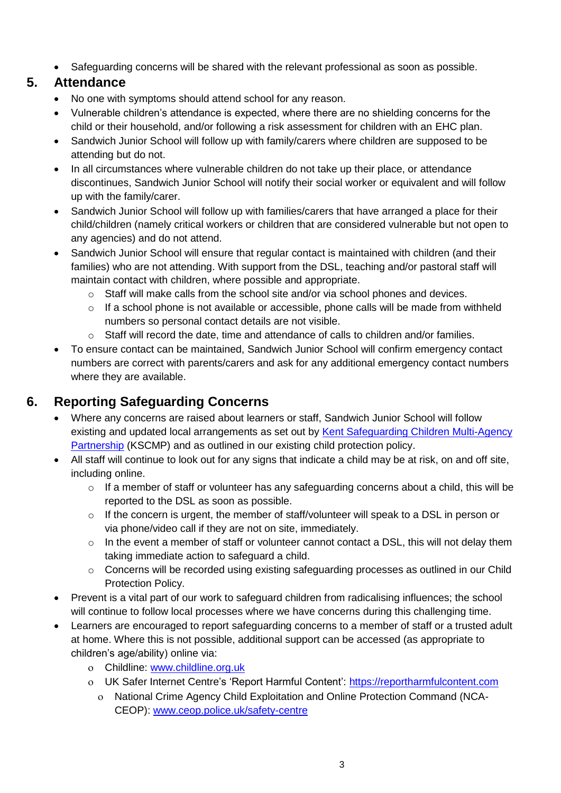• Safeguarding concerns will be shared with the relevant professional as soon as possible.

#### **5. Attendance**

- No one with symptoms should attend school for any reason.
- Vulnerable children's attendance is expected, where there are no shielding concerns for the child or their household, and/or following a risk assessment for children with an EHC plan.
- Sandwich Junior School will follow up with family/carers where children are supposed to be attending but do not.
- In all circumstances where vulnerable children do not take up their place, or attendance discontinues, Sandwich Junior School will notify their social worker or equivalent and will follow up with the family/carer.
- Sandwich Junior School will follow up with families/carers that have arranged a place for their child/children (namely critical workers or children that are considered vulnerable but not open to any agencies) and do not attend.
- Sandwich Junior School will ensure that regular contact is maintained with children (and their families) who are not attending. With support from the DSL, teaching and/or pastoral staff will maintain contact with children, where possible and appropriate.
	- $\circ$  Staff will make calls from the school site and/or via school phones and devices.
	- o If a school phone is not available or accessible, phone calls will be made from withheld numbers so personal contact details are not visible.
	- $\circ$  Staff will record the date, time and attendance of calls to children and/or families.
- To ensure contact can be maintained, Sandwich Junior School will confirm emergency contact numbers are correct with parents/carers and ask for any additional emergency contact numbers where they are available.

## **6. Reporting Safeguarding Concerns**

- Where any concerns are raised about learners or staff, Sandwich Junior School will follow existing and updated local arrangements as set out by Kent Safeguarding Children Multi-Agency [Partnership](https://www.kscmp.org.uk/) (KSCMP) and as outlined in our existing child protection policy.
- All staff will continue to look out for any signs that indicate a child may be at risk, on and off site, including online.
	- o If a member of staff or volunteer has any safeguarding concerns about a child, this will be reported to the DSL as soon as possible.
	- $\circ$  If the concern is urgent, the member of staff/volunteer will speak to a DSL in person or via phone/video call if they are not on site, immediately.
	- $\circ$  In the event a member of staff or volunteer cannot contact a DSL, this will not delay them taking immediate action to safeguard a child.
	- o Concerns will be recorded using existing safeguarding processes as outlined in our Child Protection Policy.
- Prevent is a vital part of our work to safeguard children from radicalising influences; the school will continue to follow local processes where we have concerns during this challenging time.
- Learners are encouraged to report safeguarding concerns to a member of staff or a trusted adult at home. Where this is not possible, additional support can be accessed (as appropriate to children's age/ability) online via:
	- Childline: [www.childline.org.uk](http://www.childline.org.uk/)
	- UK Safer Internet Centre's 'Report Harmful Content': [https://reportharmfulcontent.com](https://reportharmfulcontent.com/)
		- National Crime Agency Child Exploitation and Online Protection Command (NCA-CEOP): [www.ceop.police.uk/safety-centre](https://www.ceop.police.uk/safety-centre/)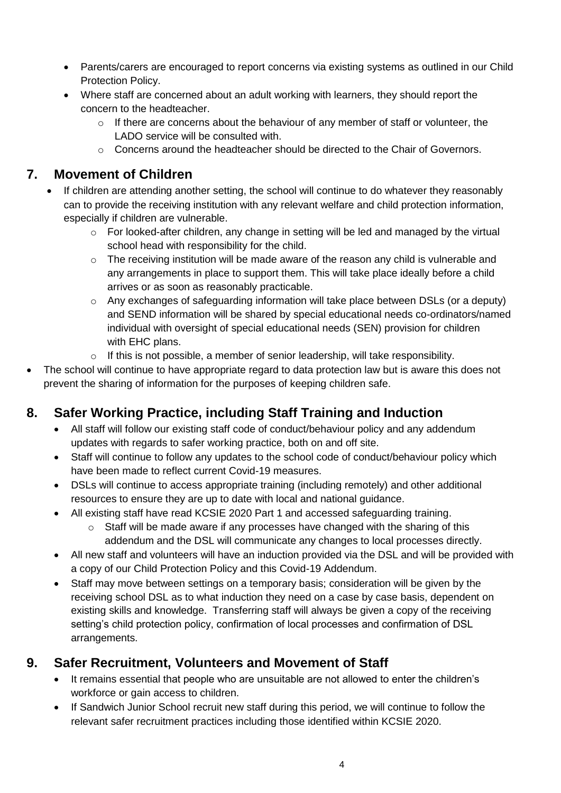- Parents/carers are encouraged to report concerns via existing systems as outlined in our Child Protection Policy.
- Where staff are concerned about an adult working with learners, they should report the concern to the headteacher.
	- $\circ$  If there are concerns about the behaviour of any member of staff or volunteer, the LADO service will be consulted with.
	- o Concerns around the headteacher should be directed to the Chair of Governors.

### **7. Movement of Children**

- If children are attending another setting, the school will continue to do whatever they reasonably can to provide the receiving institution with any relevant welfare and child protection information, especially if children are vulnerable.
	- o For looked-after children, any change in setting will be led and managed by the virtual school head with responsibility for the child.
	- $\circ$  The receiving institution will be made aware of the reason any child is vulnerable and any arrangements in place to support them. This will take place ideally before a child arrives or as soon as reasonably practicable.
	- $\circ$  Any exchanges of safeguarding information will take place between DSLs (or a deputy) and SEND information will be shared by special educational needs co-ordinators/named individual with oversight of special educational needs (SEN) provision for children with EHC plans.
	- o If this is not possible, a member of senior leadership, will take responsibility.
- The school will continue to have appropriate regard to data protection law but is aware this does not prevent the sharing of information for the purposes of keeping children safe.

## **8. Safer Working Practice, including Staff Training and Induction**

- All staff will follow our existing staff code of conduct/behaviour policy and any addendum updates with regards to safer working practice, both on and off site.
- Staff will continue to follow any updates to the school code of conduct/behaviour policy which have been made to reflect current Covid-19 measures.
- DSLs will continue to access appropriate training (including remotely) and other additional resources to ensure they are up to date with local and national guidance.
- All existing staff have read KCSIE 2020 Part 1 and accessed safeguarding training.
	- $\circ$  Staff will be made aware if any processes have changed with the sharing of this addendum and the DSL will communicate any changes to local processes directly.
- All new staff and volunteers will have an induction provided via the DSL and will be provided with a copy of our Child Protection Policy and this Covid-19 Addendum.
- Staff may move between settings on a temporary basis; consideration will be given by the receiving school DSL as to what induction they need on a case by case basis, dependent on existing skills and knowledge. Transferring staff will always be given a copy of the receiving setting's child protection policy, confirmation of local processes and confirmation of DSL arrangements.

### **9. Safer Recruitment, Volunteers and Movement of Staff**

- It remains essential that people who are unsuitable are not allowed to enter the children's workforce or gain access to children.
- If Sandwich Junior School recruit new staff during this period, we will continue to follow the relevant safer recruitment practices including those identified within KCSIE 2020.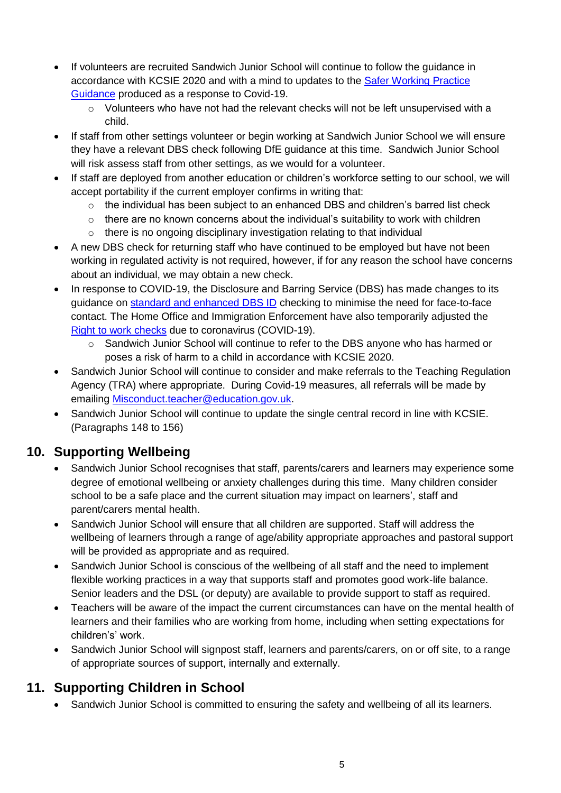- If volunteers are recruited Sandwich Junior School will continue to follow the guidance in accordance with KCSIE 2020 and with a mind to updates to the [Safer Working Practice](https://www.saferrecruitmentconsortium.org/GSWP%20COVID%20addendum%20April%202020%20final.pdf)  [Guidance](https://www.saferrecruitmentconsortium.org/GSWP%20COVID%20addendum%20April%202020%20final.pdf) produced as a response to Covid-19.
	- $\circ$  Volunteers who have not had the relevant checks will not be left unsupervised with a child.
- If staff from other settings volunteer or begin working at Sandwich Junior School we will ensure they have a relevant DBS check following DfE guidance at this time. Sandwich Junior School will risk assess staff from other settings, as we would for a volunteer.
- If staff are deployed from another education or children's workforce setting to our school, we will accept portability if the current employer confirms in writing that:
	- $\circ$  the individual has been subject to an enhanced DBS and children's barred list check
	- $\circ$  there are no known concerns about the individual's suitability to work with children
	- o there is no ongoing disciplinary investigation relating to that individual
- A new DBS check for returning staff who have continued to be employed but have not been working in regulated activity is not required, however, if for any reason the school have concerns about an individual, we may obtain a new check.
- In response to COVID-19, the Disclosure and Barring Service (DBS) has made changes to its guidance on [standard and enhanced DBS ID](https://www.gov.uk/government/news/covid-19-changes-to-dbs-id-checking-guidelines) checking to minimise the need for face-to-face contact. The Home Office and Immigration Enforcement have also temporarily adjusted the [Right to work checks](https://www.gov.uk/guidance/coronavirus-covid-19-right-to-work-checks) due to coronavirus (COVID-19).
	- o Sandwich Junior School will continue to refer to the DBS anyone who has harmed or poses a risk of harm to a child in accordance with KCSIE 2020.
- Sandwich Junior School will continue to consider and make referrals to the Teaching Regulation Agency (TRA) where appropriate. During Covid-19 measures, all referrals will be made by emailing [Misconduct.teacher@education.gov.uk.](mailto:Misconduct.teacher@education.gov.uk)
- Sandwich Junior School will continue to update the single central record in line with KCSIE. (Paragraphs 148 to 156)

### **10. Supporting Wellbeing**

- Sandwich Junior School recognises that staff, parents/carers and learners may experience some degree of emotional wellbeing or anxiety challenges during this time. Many children consider school to be a safe place and the current situation may impact on learners', staff and parent/carers mental health.
- Sandwich Junior School will ensure that all children are supported. Staff will address the wellbeing of learners through a range of age/ability appropriate approaches and pastoral support will be provided as appropriate and as required.
- Sandwich Junior School is conscious of the wellbeing of all staff and the need to implement flexible working practices in a way that supports staff and promotes good work-life balance. Senior leaders and the DSL (or deputy) are available to provide support to staff as required.
- Teachers will be aware of the impact the current circumstances can have on the mental health of learners and their families who are working from home, including when setting expectations for children's' work.
- Sandwich Junior School will signpost staff, learners and parents/carers, on or off site, to a range of appropriate sources of support, internally and externally.

## **11. Supporting Children in School**

Sandwich Junior School is committed to ensuring the safety and wellbeing of all its learners.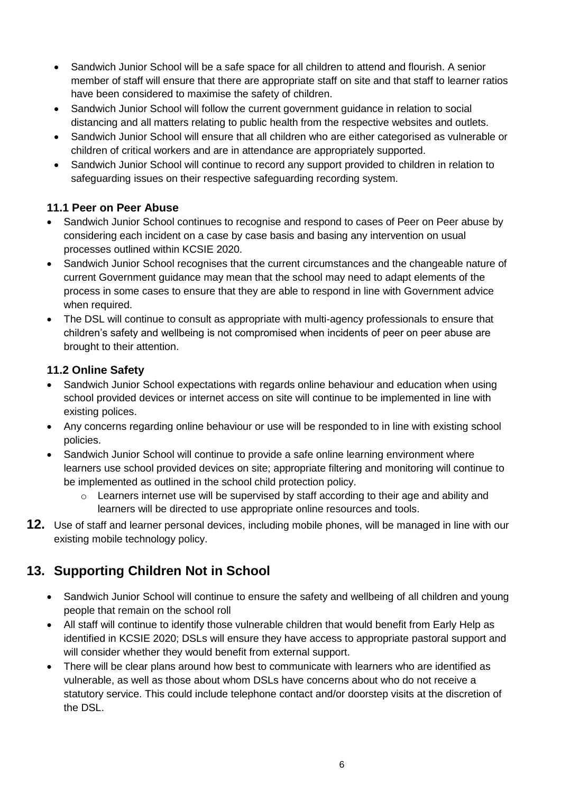- Sandwich Junior School will be a safe space for all children to attend and flourish. A senior member of staff will ensure that there are appropriate staff on site and that staff to learner ratios have been considered to maximise the safety of children.
- Sandwich Junior School will follow the current government guidance in relation to social distancing and all matters relating to public health from the respective websites and outlets.
- Sandwich Junior School will ensure that all children who are either categorised as vulnerable or children of critical workers and are in attendance are appropriately supported.
- Sandwich Junior School will continue to record any support provided to children in relation to safeguarding issues on their respective safeguarding recording system.

#### **11.1 Peer on Peer Abuse**

- Sandwich Junior School continues to recognise and respond to cases of Peer on Peer abuse by considering each incident on a case by case basis and basing any intervention on usual processes outlined within KCSIE 2020.
- Sandwich Junior School recognises that the current circumstances and the changeable nature of current Government guidance may mean that the school may need to adapt elements of the process in some cases to ensure that they are able to respond in line with Government advice when required.
- The DSL will continue to consult as appropriate with multi-agency professionals to ensure that children's safety and wellbeing is not compromised when incidents of peer on peer abuse are brought to their attention.

#### **11.2 Online Safety**

- Sandwich Junior School expectations with regards online behaviour and education when using school provided devices or internet access on site will continue to be implemented in line with existing polices.
- Any concerns regarding online behaviour or use will be responded to in line with existing school policies.
- Sandwich Junior School will continue to provide a safe online learning environment where learners use school provided devices on site; appropriate filtering and monitoring will continue to be implemented as outlined in the school child protection policy.
	- $\circ$  Learners internet use will be supervised by staff according to their age and ability and learners will be directed to use appropriate online resources and tools.
- **12.** Use of staff and learner personal devices, including mobile phones, will be managed in line with our existing mobile technology policy.

### **13. Supporting Children Not in School**

- Sandwich Junior School will continue to ensure the safety and wellbeing of all children and young people that remain on the school roll
- All staff will continue to identify those vulnerable children that would benefit from Early Help as identified in KCSIE 2020; DSLs will ensure they have access to appropriate pastoral support and will consider whether they would benefit from external support.
- There will be clear plans around how best to communicate with learners who are identified as vulnerable, as well as those about whom DSLs have concerns about who do not receive a statutory service. This could include telephone contact and/or doorstep visits at the discretion of the DSL.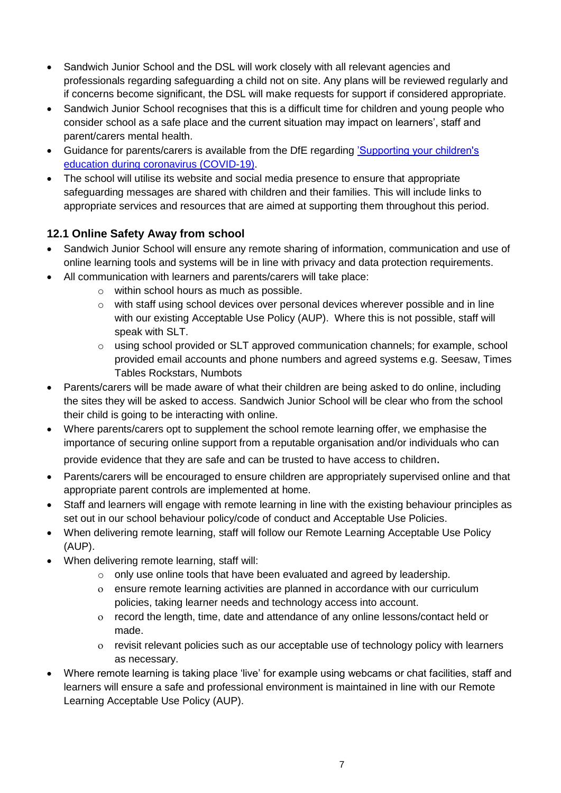- Sandwich Junior School and the DSL will work closely with all relevant agencies and professionals regarding safeguarding a child not on site. Any plans will be reviewed regularly and if concerns become significant, the DSL will make requests for support if considered appropriate.
- Sandwich Junior School recognises that this is a difficult time for children and young people who consider school as a safe place and the current situation may impact on learners', staff and parent/carers mental health.
- Guidance for parents/carers is available from the DfE regarding ['Supporting your children's](https://www.gov.uk/guidance/supporting-your-childrens-education-during-coronavirus-covid-19)  [education during coronavirus \(COVID-19\).](https://www.gov.uk/guidance/supporting-your-childrens-education-during-coronavirus-covid-19)
- The school will utilise its website and social media presence to ensure that appropriate safeguarding messages are shared with children and their families. This will include links to appropriate services and resources that are aimed at supporting them throughout this period.

#### **12.1 Online Safety Away from school**

- Sandwich Junior School will ensure any remote sharing of information, communication and use of online learning tools and systems will be in line with privacy and data protection requirements.
- All communication with learners and parents/carers will take place:
	- o within school hours as much as possible.
	- $\circ$  with staff using school devices over personal devices wherever possible and in line with our existing Acceptable Use Policy (AUP). Where this is not possible, staff will speak with SLT.
	- $\circ$  using school provided or SLT approved communication channels; for example, school provided email accounts and phone numbers and agreed systems e.g. Seesaw, Times Tables Rockstars, Numbots
- Parents/carers will be made aware of what their children are being asked to do online, including the sites they will be asked to access. Sandwich Junior School will be clear who from the school their child is going to be interacting with online.
- Where parents/carers opt to supplement the school remote learning offer, we emphasise the importance of securing online support from a reputable organisation and/or individuals who can

provide evidence that they are safe and can be trusted to have access to children.

- Parents/carers will be encouraged to ensure children are appropriately supervised online and that appropriate parent controls are implemented at home.
- Staff and learners will engage with remote learning in line with the existing behaviour principles as set out in our school behaviour policy/code of conduct and Acceptable Use Policies.
- When delivering remote learning, staff will follow our Remote Learning Acceptable Use Policy (AUP).
- When delivering remote learning, staff will:
	- $\circ$  only use online tools that have been evaluated and agreed by leadership.
	- ensure remote learning activities are planned in accordance with our curriculum policies, taking learner needs and technology access into account.
	- record the length, time, date and attendance of any online lessons/contact held or made.
	- revisit relevant policies such as our acceptable use of technology policy with learners as necessary.
- Where remote learning is taking place 'live' for example using webcams or chat facilities, staff and learners will ensure a safe and professional environment is maintained in line with our Remote Learning Acceptable Use Policy (AUP).